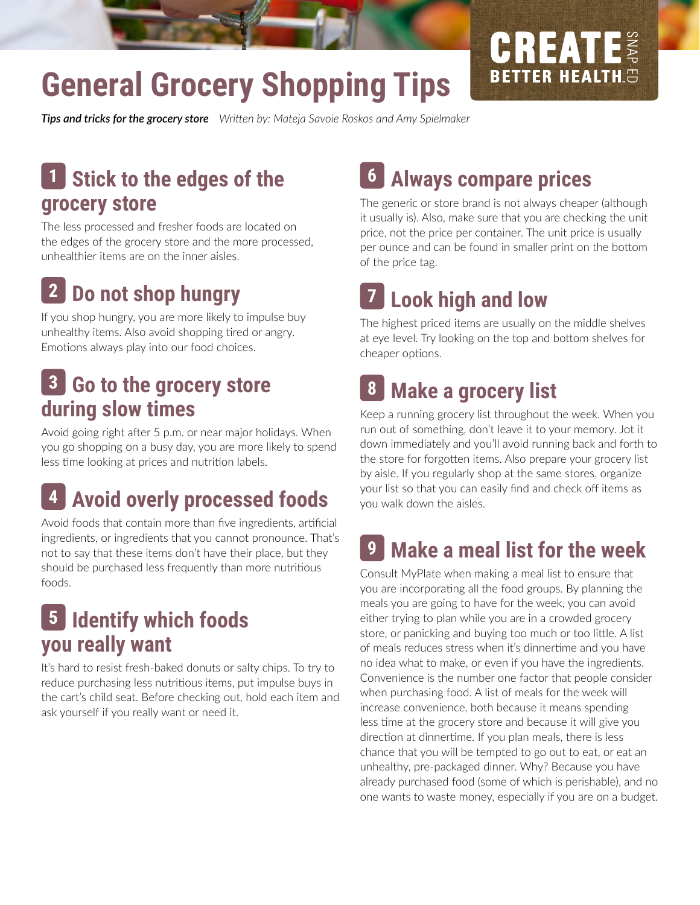# **General Grocery Shopping Tips**

**Tips and tricks for the grocery store** Written by: Mateja Savoie Roskos and Amy Spielmaker

#### **Stick to the edges of the grocery store 1**

The less processed and fresher foods are located on the edges of the grocery store and the more processed, unhealthier items are on the inner aisles.

#### **Do not shop hungry 2**

If you shop hungry, you are more likely to impulse buy unhealthy items. Also avoid shopping tired or angry. Emotions always play into our food choices.

### **Go to the grocery store 8 3 during slow times**

Avoid going right after 5 p.m. or near major holidays. When you go shopping on a busy day, you are more likely to spend less time looking at prices and nutrition labels.

## **4 Avoid overly processed foods**

Avoid foods that contain more than five ingredients, artificial ingredients, or ingredients that you cannot pronounce. That's not to say that these items don't have their place, but they should be purchased less frequently than more nutritious foods.

### **Identify which foods 5 you really want**

It's hard to resist fresh-baked donuts or salty chips. To try to reduce purchasing less nutritious items, put impulse buys in the cart's child seat. Before checking out, hold each item and ask yourself if you really want or need it.

## **Always compare prices 6**

The generic or store brand is not always cheaper (although it usually is). Also, make sure that you are checking the unit price, not the price per container. The unit price is usually per ounce and can be found in smaller print on the bottom of the price tag.

GREAT

**BETTER HEALTH.5** 

#### **Look high and low 7**

The highest priced items are usually on the middle shelves at eye level. Try looking on the top and bottom shelves for cheaper options.

## **Make a grocery list**

Keep a running grocery list throughout the week. When you run out of something, don't leave it to your memory. Jot it down immediately and you'll avoid running back and forth to the store for forgotten items. Also prepare your grocery list by aisle. If you regularly shop at the same stores, organize your list so that you can easily find and check off items as you walk down the aisles.

#### **Make a meal list for the week 9**

Consult MyPlate when making a meal list to ensure that you are incorporating all the food groups. By planning the meals you are going to have for the week, you can avoid either trying to plan while you are in a crowded grocery store, or panicking and buying too much or too little. A list of meals reduces stress when it's dinnertime and you have no idea what to make, or even if you have the ingredients. Convenience is the number one factor that people consider when purchasing food. A list of meals for the week will increase convenience, both because it means spending less time at the grocery store and because it will give you direction at dinnertime. If you plan meals, there is less chance that you will be tempted to go out to eat, or eat an unhealthy, pre-packaged dinner. Why? Because you have already purchased food (some of which is perishable), and no one wants to waste money, especially if you are on a budget.